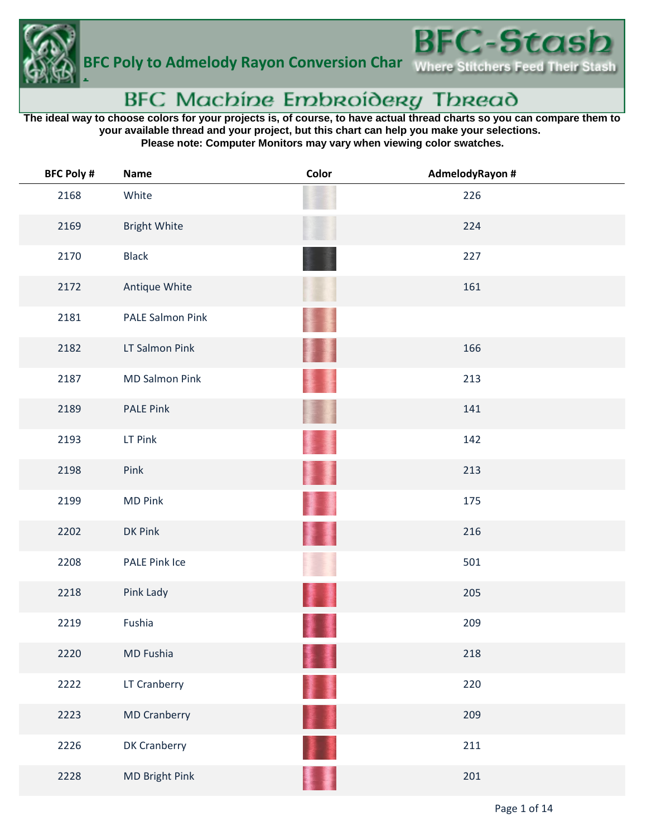

## BFC Machine Embroidery Thread

**The ideal way to choose colors for your projects is, of course, to have actual thread charts so you can compare them to your available thread and your project, but this chart can help you make your selections. Please note: Computer Monitors may vary when viewing color swatches.**

| <b>BFC Poly #</b> | <b>Name</b>           | Color | AdmelodyRayon # |
|-------------------|-----------------------|-------|-----------------|
| 2168              | White                 |       | 226             |
| 2169              | <b>Bright White</b>   |       | 224             |
| 2170              | <b>Black</b>          |       | 227             |
| 2172              | Antique White         |       | 161             |
| 2181              | PALE Salmon Pink      |       |                 |
| 2182              | LT Salmon Pink        |       | 166             |
| 2187              | <b>MD Salmon Pink</b> |       | 213             |
| 2189              | <b>PALE Pink</b>      |       | 141             |
| 2193              | LT Pink               |       | 142             |
| 2198              | Pink                  |       | 213             |
| 2199              | <b>MD Pink</b>        |       | 175             |
| 2202              | DK Pink               |       | 216             |
| 2208              | PALE Pink Ice         |       | 501             |
| 2218              | Pink Lady             |       | 205             |
| 2219              | Fushia                |       | 209             |
| 2220              | MD Fushia             |       | 218             |
| 2222              | LT Cranberry          |       | 220             |
| 2223              | <b>MD Cranberry</b>   |       | 209             |
| 2226              | DK Cranberry          |       | 211             |
| 2228              | MD Bright Pink        |       | 201             |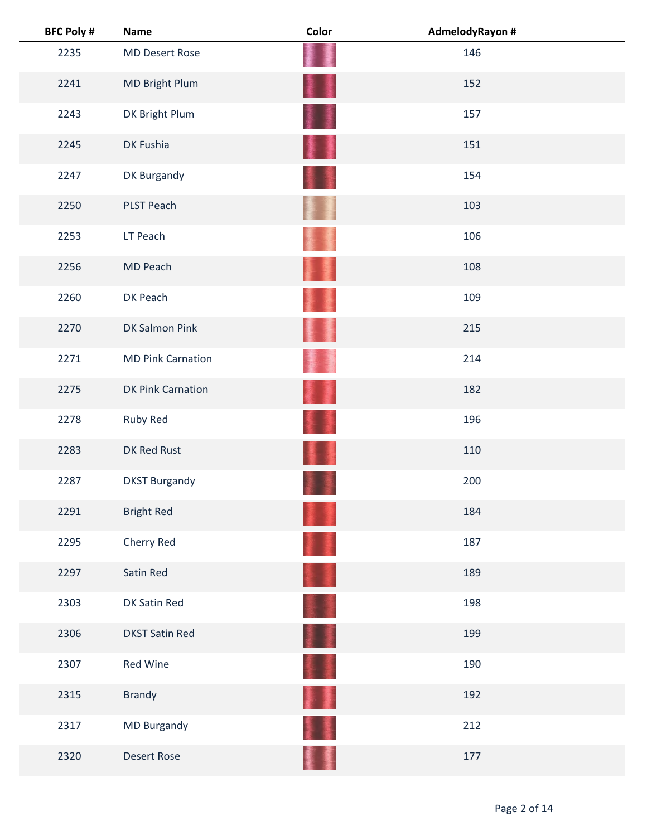| <b>BFC Poly #</b> | <b>Name</b>              | Color | AdmelodyRayon # |
|-------------------|--------------------------|-------|-----------------|
| 2235              | <b>MD Desert Rose</b>    |       | 146             |
| 2241              | MD Bright Plum           | ł     | 152             |
| 2243              | DK Bright Plum           |       | 157             |
| 2245              | DK Fushia                |       | 151             |
| 2247              | DK Burgandy              |       | 154             |
| 2250              | PLST Peach               |       | 103             |
| 2253              | LT Peach                 |       | 106             |
| 2256              | MD Peach                 |       | 108             |
| 2260              | DK Peach                 |       | 109             |
| 2270              | DK Salmon Pink           |       | 215             |
| 2271              | <b>MD Pink Carnation</b> |       | 214             |
| 2275              | <b>DK Pink Carnation</b> |       | 182             |
| 2278              | Ruby Red                 |       | 196             |
| 2283              | DK Red Rust              |       | 110             |
| 2287              | <b>DKST Burgandy</b>     |       | 200             |
| 2291              | <b>Bright Red</b>        |       | 184             |
| 2295              | Cherry Red               |       | 187             |
| 2297              | Satin Red                |       | 189             |
| 2303              | DK Satin Red             |       | 198             |
| 2306              | <b>DKST Satin Red</b>    | 墨     | 199             |
| 2307              | Red Wine                 |       | 190             |
| 2315              | <b>Brandy</b>            |       | 192             |
| 2317              | <b>MD Burgandy</b>       |       | 212             |
| 2320              | <b>Desert Rose</b>       |       | 177             |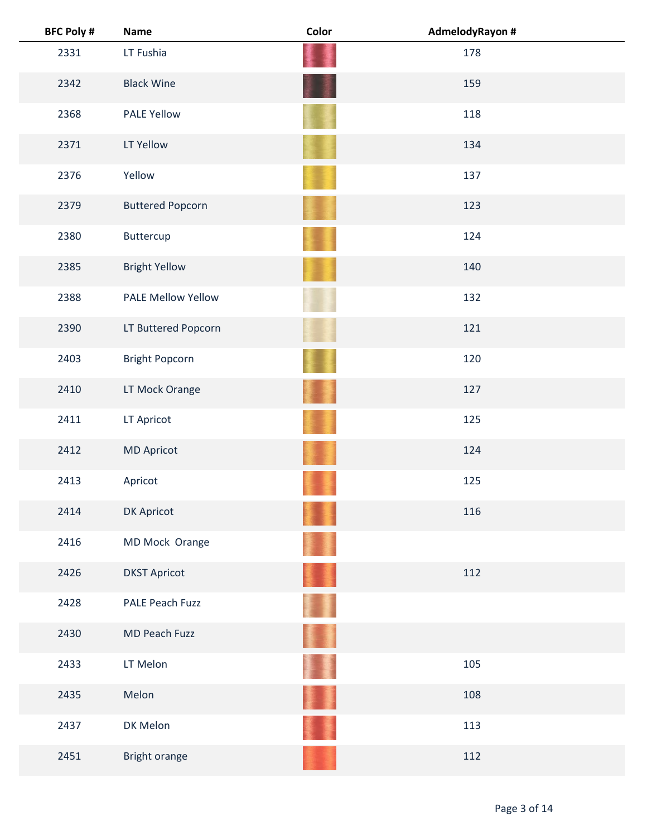| <b>BFC Poly #</b> | <b>Name</b>               | Color | AdmelodyRayon # |
|-------------------|---------------------------|-------|-----------------|
| 2331              | LT Fushia                 |       | 178             |
| 2342              | <b>Black Wine</b>         |       | 159             |
| 2368              | <b>PALE Yellow</b>        |       | 118             |
| 2371              | LT Yellow                 |       | 134             |
| 2376              | Yellow                    |       | 137             |
| 2379              | <b>Buttered Popcorn</b>   |       | 123             |
| 2380              | Buttercup                 |       | 124             |
| 2385              | <b>Bright Yellow</b>      |       | 140             |
| 2388              | <b>PALE Mellow Yellow</b> |       | 132             |
| 2390              | LT Buttered Popcorn       |       | 121             |
| 2403              | <b>Bright Popcorn</b>     |       | 120             |
| 2410              | LT Mock Orange            |       | 127             |
| 2411              | LT Apricot                |       | 125             |
| 2412              | <b>MD Apricot</b>         |       | 124             |
| 2413              | Apricot                   |       | 125             |
| 2414              | DK Apricot                |       | 116             |
| 2416              | MD Mock Orange            |       |                 |
| 2426              | <b>DKST Apricot</b>       |       | 112             |
| 2428              | PALE Peach Fuzz           |       |                 |
| 2430              | MD Peach Fuzz             |       |                 |
| 2433              | LT Melon                  |       | 105             |
| 2435              | Melon                     |       | 108             |
| 2437              | DK Melon                  |       | 113             |
| 2451              | Bright orange             |       | 112             |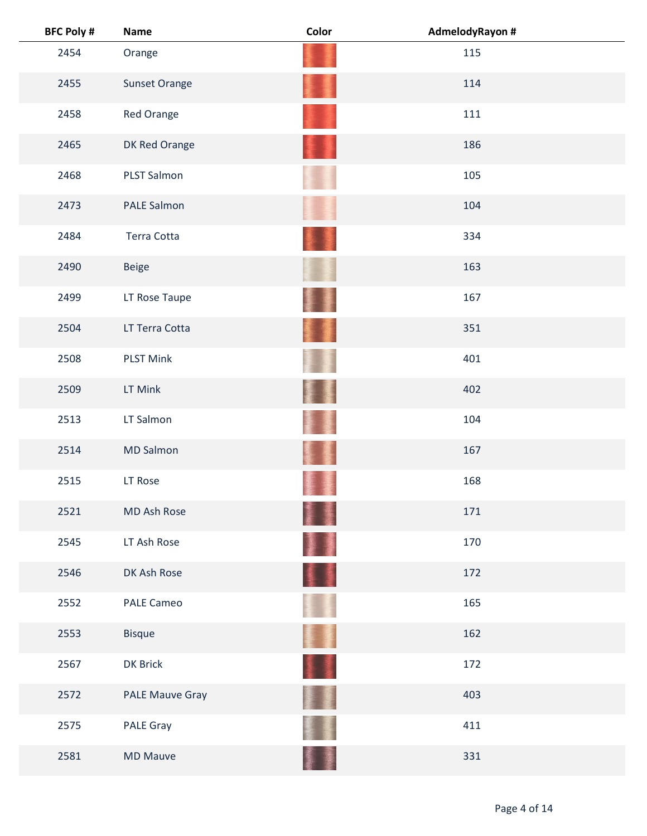| <b>BFC Poly #</b> | <b>Name</b>            | Color | AdmelodyRayon # |
|-------------------|------------------------|-------|-----------------|
| 2454              | Orange                 |       | 115             |
| 2455              | <b>Sunset Orange</b>   |       | 114             |
| 2458              | Red Orange             |       | 111             |
| 2465              | DK Red Orange          |       | 186             |
| 2468              | <b>PLST Salmon</b>     |       | 105             |
| 2473              | PALE Salmon            |       | 104             |
| 2484              | Terra Cotta            |       | 334             |
| 2490              | <b>Beige</b>           |       | 163             |
| 2499              | LT Rose Taupe          |       | 167             |
| 2504              | LT Terra Cotta         |       | 351             |
| 2508              | <b>PLST Mink</b>       |       | 401             |
| 2509              | LT Mink                |       | 402             |
| 2513              | LT Salmon              |       | 104             |
| 2514              | <b>MD Salmon</b>       |       | 167             |
| 2515              | LT Rose                |       | 168             |
| 2521              | MD Ash Rose            |       | 171             |
| 2545              | LT Ash Rose            | 屢     | 170             |
| 2546              | DK Ash Rose            | ¥J    | 172             |
| 2552              | PALE Cameo             |       | 165             |
| 2553              | <b>Bisque</b>          |       | 162             |
| 2567              | DK Brick               | 11    | 172             |
| 2572              | <b>PALE Mauve Gray</b> |       | 403             |
| 2575              | PALE Gray              |       | 411             |
| 2581              | <b>MD Mauve</b>        |       | 331             |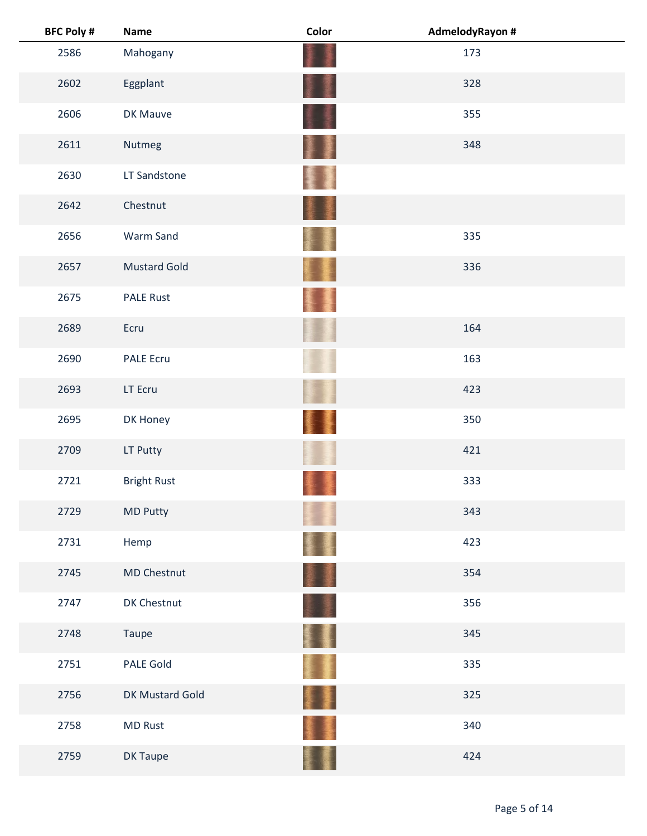| <b>BFC Poly #</b> | <b>Name</b>         | Color | AdmelodyRayon # |
|-------------------|---------------------|-------|-----------------|
| 2586              | Mahogany            |       | 173             |
| 2602              | Eggplant            |       | 328             |
| 2606              | DK Mauve            |       | 355             |
| 2611              | Nutmeg              |       | 348             |
| 2630              | LT Sandstone        |       |                 |
| 2642              | Chestnut            |       |                 |
| 2656              | Warm Sand           |       | 335             |
| 2657              | <b>Mustard Gold</b> |       | 336             |
| 2675              | <b>PALE Rust</b>    |       |                 |
| 2689              | Ecru                |       | 164             |
| 2690              | <b>PALE Ecru</b>    |       | 163             |
| 2693              | LT Ecru             |       | 423             |
| 2695              | DK Honey            |       | 350             |
| 2709              | LT Putty            |       | 421             |
| 2721              | <b>Bright Rust</b>  |       | 333             |
| 2729              | MD Putty            |       | 343             |
| 2731              | Hemp                |       | 423             |
| 2745              | MD Chestnut         |       | 354             |
| 2747              | DK Chestnut         |       | 356             |
| 2748              | Taupe               | ł     | 345             |
| 2751              | PALE Gold           |       | 335             |
| 2756              | DK Mustard Gold     | ŧ     | 325             |
| 2758              | <b>MD Rust</b>      |       | 340             |
| 2759              | DK Taupe            |       | 424             |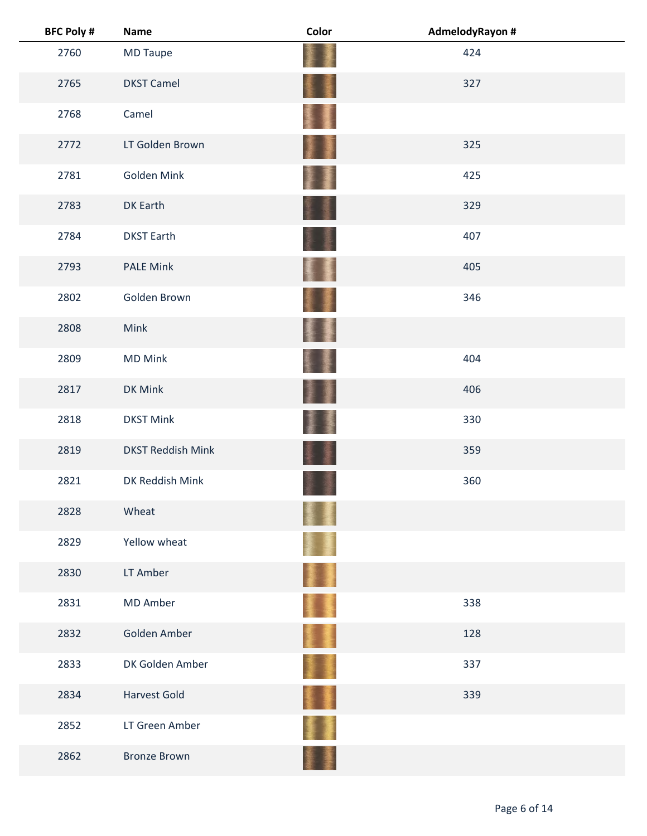| <b>BFC Poly #</b> | <b>Name</b>              | Color | AdmelodyRayon # |  |
|-------------------|--------------------------|-------|-----------------|--|
| 2760              | <b>MD Taupe</b>          |       | 424             |  |
| 2765              | <b>DKST Camel</b>        | ŧ     | 327             |  |
| 2768              | Camel                    |       |                 |  |
| 2772              | LT Golden Brown          | T     | 325             |  |
| 2781              | Golden Mink              |       | 425             |  |
| 2783              | <b>DK Earth</b>          |       | 329             |  |
| 2784              | <b>DKST Earth</b>        |       | 407             |  |
| 2793              | <b>PALE Mink</b>         |       | 405             |  |
| 2802              | Golden Brown             |       | 346             |  |
| 2808              | Mink                     | 生活    |                 |  |
| 2809              | <b>MD Mink</b>           |       | 404             |  |
| 2817              | DK Mink                  |       | 406             |  |
| 2818              | <b>DKST Mink</b>         |       | 330             |  |
| 2819              | <b>DKST Reddish Mink</b> |       | 359             |  |
| 2821              | DK Reddish Mink          |       | 360             |  |
| 2828              | Wheat                    |       |                 |  |
| 2829              | Yellow wheat             |       |                 |  |
| 2830              | LT Amber                 |       |                 |  |
| 2831              | <b>MD Amber</b>          |       | 338             |  |
| 2832              | Golden Amber             | II.   | 128             |  |
| 2833              | DK Golden Amber          |       | 337             |  |
| 2834              | <b>Harvest Gold</b>      |       | 339             |  |
| 2852              | LT Green Amber           |       |                 |  |
| 2862              | <b>Bronze Brown</b>      |       |                 |  |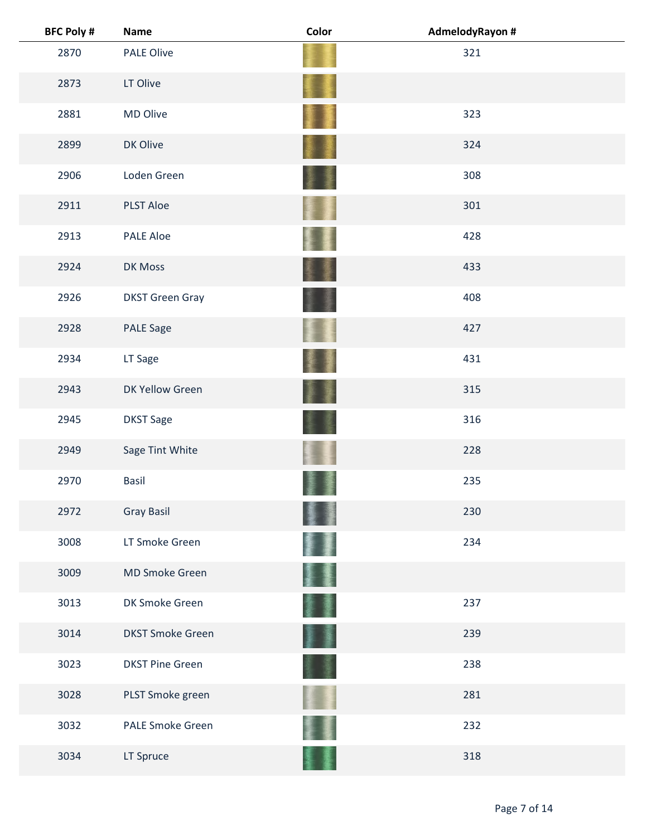| <b>BFC Poly #</b> | <b>Name</b>             | Color | AdmelodyRayon # |
|-------------------|-------------------------|-------|-----------------|
| 2870              | <b>PALE Olive</b>       |       | 321             |
| 2873              | LT Olive                |       |                 |
| 2881              | MD Olive                |       | 323             |
| 2899              | DK Olive                |       | 324             |
| 2906              | Loden Green             |       | 308             |
| 2911              | <b>PLST Aloe</b>        |       | 301             |
| 2913              | <b>PALE Aloe</b>        |       | 428             |
| 2924              | DK Moss                 |       | 433             |
| 2926              | <b>DKST Green Gray</b>  |       | 408             |
| 2928              | <b>PALE Sage</b>        |       | 427             |
| 2934              | LT Sage                 |       | 431             |
| 2943              | DK Yellow Green         |       | 315             |
| 2945              | <b>DKST Sage</b>        |       | 316             |
| 2949              | Sage Tint White         |       | 228             |
| 2970              | <b>Basil</b>            |       | 235             |
| 2972              | <b>Gray Basil</b>       |       | 230             |
| 3008              | LT Smoke Green          |       | 234             |
| 3009              | MD Smoke Green          |       |                 |
| 3013              | DK Smoke Green          |       | 237             |
| 3014              | <b>DKST Smoke Green</b> |       | 239             |
| 3023              | <b>DKST Pine Green</b>  |       | 238             |
| 3028              | PLST Smoke green        |       | 281             |
| 3032              | <b>PALE Smoke Green</b> |       | 232             |
| 3034              | LT Spruce               |       | 318             |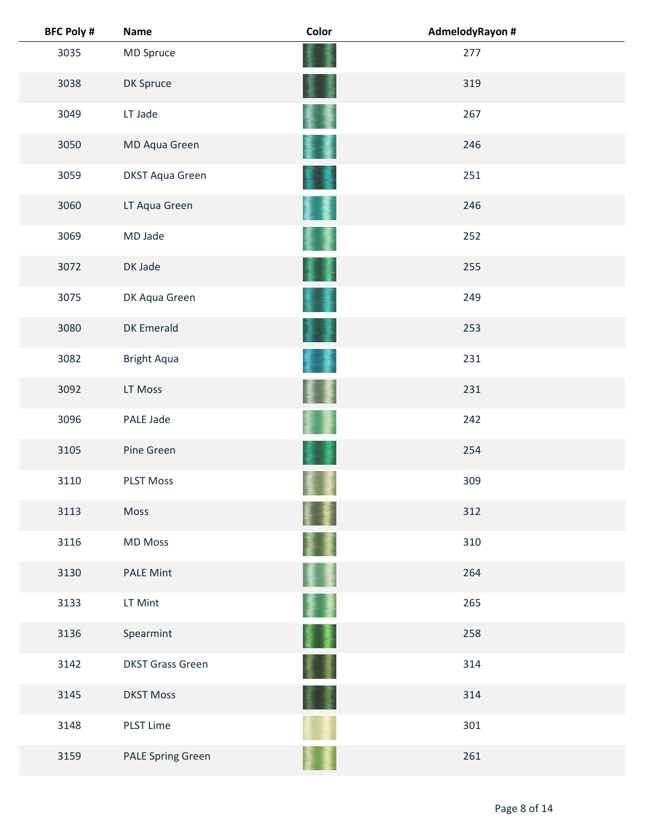| <b>BFC Poly #</b> | <b>Name</b>              | Color | AdmelodyRayon # |  |
|-------------------|--------------------------|-------|-----------------|--|
| 3035              | MD Spruce                |       | 277             |  |
| 3038              | DK Spruce                |       | 319             |  |
| 3049              | LT Jade                  |       | 267             |  |
| 3050              | MD Aqua Green            |       | 246             |  |
| 3059              | <b>DKST Aqua Green</b>   |       | 251             |  |
| 3060              | LT Aqua Green            |       | 246             |  |
| 3069              | MD Jade                  |       | 252             |  |
| 3072              | DK Jade                  |       | 255             |  |
| 3075              | DK Aqua Green            |       | 249             |  |
| 3080              | <b>DK Emerald</b>        |       | 253             |  |
| 3082              | <b>Bright Aqua</b>       |       | 231             |  |
| 3092              | LT Moss                  |       | 231             |  |
| 3096              | PALE Jade                |       | 242             |  |
| 3105              | Pine Green               |       | 254             |  |
| 3110              | <b>PLST Moss</b>         |       | 309             |  |
| 3113              | Moss                     |       | 312             |  |
| 3116              | <b>MD Moss</b>           |       | 310             |  |
| 3130              | <b>PALE Mint</b>         |       | 264             |  |
| 3133              | LT Mint                  |       | 265             |  |
| 3136              | Spearmint                | 屢     | 258             |  |
| 3142              | <b>DKST Grass Green</b>  |       | 314             |  |
| 3145              | <b>DKST Moss</b>         |       | 314             |  |
| 3148              | <b>PLST Lime</b>         |       | 301             |  |
| 3159              | <b>PALE Spring Green</b> |       | 261             |  |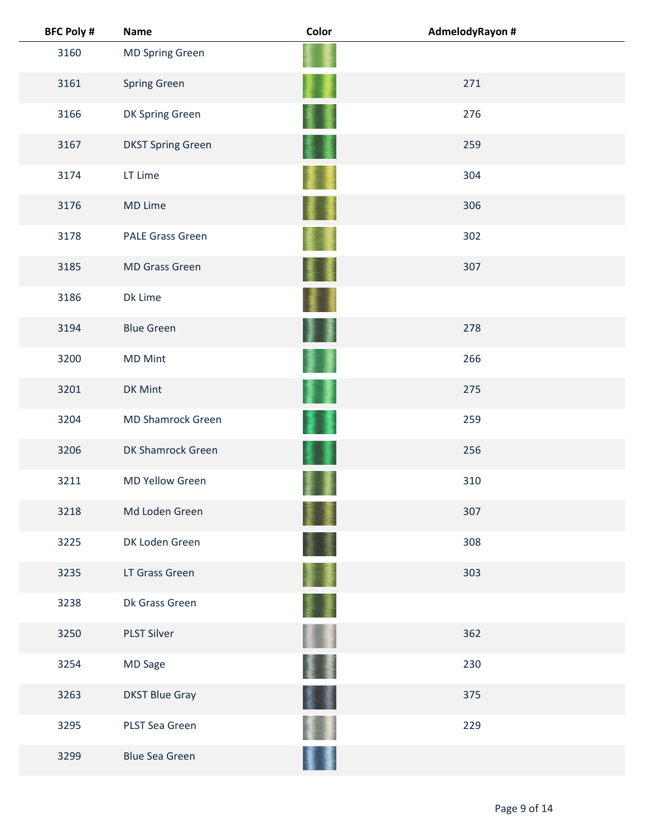| <b>BFC Poly #</b> | <b>Name</b>              | Color | AdmelodyRayon # |  |
|-------------------|--------------------------|-------|-----------------|--|
| 3160              | <b>MD Spring Green</b>   |       |                 |  |
| 3161              | <b>Spring Green</b>      |       | 271             |  |
| 3166              | DK Spring Green          |       | 276             |  |
| 3167              | <b>DKST Spring Green</b> |       | 259             |  |
| 3174              | LT Lime                  |       | 304             |  |
| 3176              | MD Lime                  |       | 306             |  |
| 3178              | <b>PALE Grass Green</b>  |       | 302             |  |
| 3185              | <b>MD Grass Green</b>    |       | 307             |  |
| 3186              | Dk Lime                  |       |                 |  |
| 3194              | <b>Blue Green</b>        |       | 278             |  |
| 3200              | <b>MD Mint</b>           |       | 266             |  |
| 3201              | DK Mint                  |       | 275             |  |
| 3204              | <b>MD Shamrock Green</b> |       | 259             |  |
| 3206              | DK Shamrock Green        |       | 256             |  |
| 3211              | MD Yellow Green          |       | 310             |  |
| 3218              | Md Loden Green           |       | 307             |  |
| 3225              | DK Loden Green           |       | 308             |  |
| 3235              | LT Grass Green           |       | 303             |  |
| 3238              | Dk Grass Green           |       |                 |  |
| 3250              | <b>PLST Silver</b>       |       | 362             |  |
| 3254              | MD Sage                  |       | 230             |  |
| 3263              | <b>DKST Blue Gray</b>    |       | 375             |  |
| 3295              | PLST Sea Green           |       | 229             |  |
| 3299              | <b>Blue Sea Green</b>    |       |                 |  |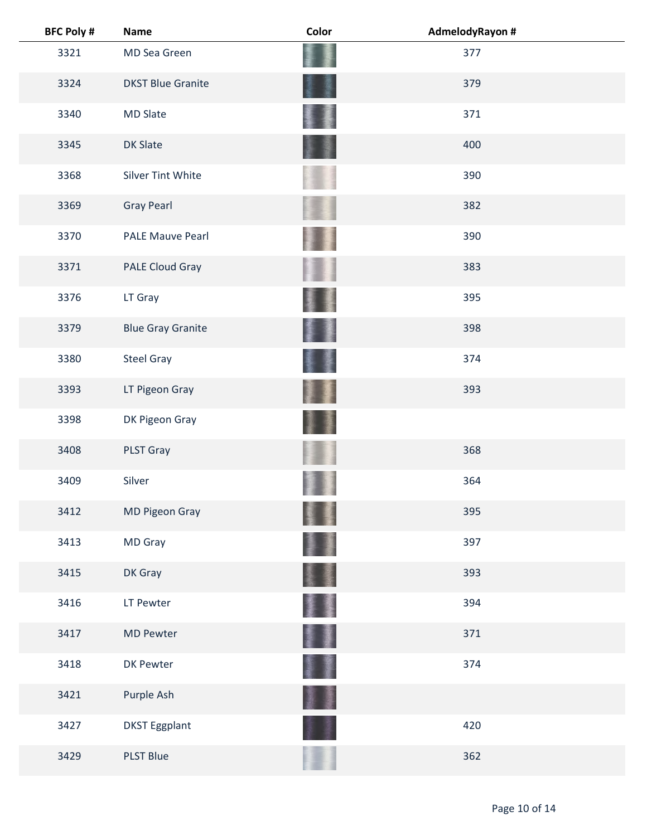| <b>BFC Poly #</b> | <b>Name</b>              | Color | AdmelodyRayon # |  |
|-------------------|--------------------------|-------|-----------------|--|
| 3321              | MD Sea Green             |       | 377             |  |
| 3324              | <b>DKST Blue Granite</b> |       | 379             |  |
| 3340              | <b>MD Slate</b>          |       | 371             |  |
| 3345              | <b>DK Slate</b>          |       | 400             |  |
| 3368              | Silver Tint White        |       | 390             |  |
| 3369              | <b>Gray Pearl</b>        |       | 382             |  |
| 3370              | <b>PALE Mauve Pearl</b>  |       | 390             |  |
| 3371              | PALE Cloud Gray          |       | 383             |  |
| 3376              | LT Gray                  |       | 395             |  |
| 3379              | <b>Blue Gray Granite</b> |       | 398             |  |
| 3380              | <b>Steel Gray</b>        |       | 374             |  |
| 3393              | LT Pigeon Gray           |       | 393             |  |
| 3398              | DK Pigeon Gray           |       |                 |  |
| 3408              | PLST Gray                |       | 368             |  |
| 3409              | Silver                   |       | 364             |  |
| 3412              | <b>MD Pigeon Gray</b>    |       | 395             |  |
| 3413              | MD Gray                  |       | 397             |  |
| 3415              | DK Gray                  |       | 393             |  |
| 3416              | LT Pewter                |       | 394             |  |
| 3417              | <b>MD Pewter</b>         |       | 371             |  |
| 3418              | DK Pewter                |       | 374             |  |
| 3421              | Purple Ash               |       |                 |  |
| 3427              | <b>DKST Eggplant</b>     |       | 420             |  |
| 3429              | PLST Blue                |       | 362             |  |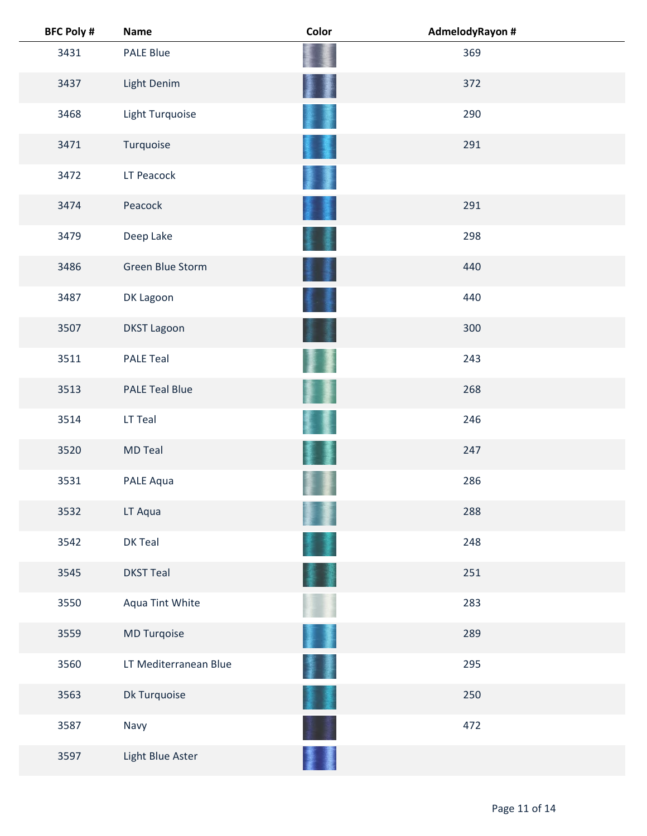| <b>BFC Poly #</b> | <b>Name</b>           | Color | AdmelodyRayon # |  |
|-------------------|-----------------------|-------|-----------------|--|
| 3431              | <b>PALE Blue</b>      |       | 369             |  |
| 3437              | Light Denim           |       | 372             |  |
| 3468              | Light Turquoise       |       | 290             |  |
| 3471              | Turquoise             |       | 291             |  |
| 3472              | LT Peacock            |       |                 |  |
| 3474              | Peacock               |       | 291             |  |
| 3479              | Deep Lake             |       | 298             |  |
| 3486              | Green Blue Storm      |       | 440             |  |
| 3487              | DK Lagoon             |       | 440             |  |
| 3507              | <b>DKST Lagoon</b>    |       | 300             |  |
| 3511              | <b>PALE Teal</b>      |       | 243             |  |
| 3513              | <b>PALE Teal Blue</b> |       | 268             |  |
| 3514              | LT Teal               |       | 246             |  |
| 3520              | <b>MD Teal</b>        |       | 247             |  |
| 3531              | PALE Aqua             |       | 286             |  |
| 3532              | LT Aqua               |       | 288             |  |
| 3542              | DK Teal               |       | 248             |  |
| 3545              | <b>DKST Teal</b>      |       | 251             |  |
| 3550              | Aqua Tint White       |       | 283             |  |
| 3559              | MD Turqoise           |       | 289             |  |
| 3560              | LT Mediterranean Blue |       | 295             |  |
| 3563              | Dk Turquoise          |       | 250             |  |
| 3587              | Navy                  |       | 472             |  |
| 3597              | Light Blue Aster      |       |                 |  |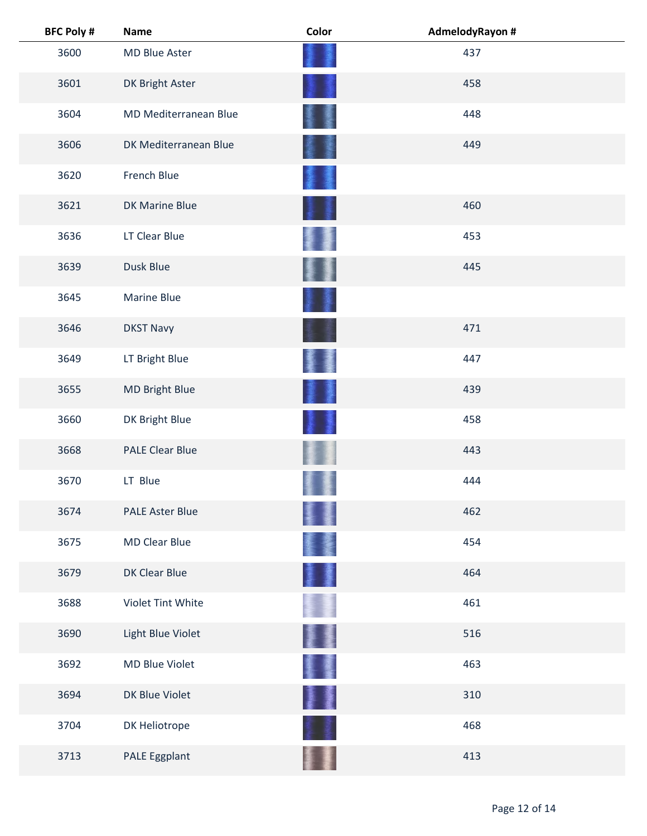| <b>BFC Poly #</b> | <b>Name</b>            | Color  | AdmelodyRayon # |  |
|-------------------|------------------------|--------|-----------------|--|
| 3600              | MD Blue Aster          |        | 437             |  |
| 3601              | DK Bright Aster        |        | 458             |  |
| 3604              | MD Mediterranean Blue  |        | 448             |  |
| 3606              | DK Mediterranean Blue  |        | 449             |  |
| 3620              | French Blue            |        |                 |  |
| 3621              | DK Marine Blue         |        | 460             |  |
| 3636              | LT Clear Blue          |        | 453             |  |
| 3639              | Dusk Blue              |        | 445             |  |
| 3645              | Marine Blue            |        |                 |  |
| 3646              | <b>DKST Navy</b>       |        | 471             |  |
| 3649              | LT Bright Blue         |        | 447             |  |
| 3655              | MD Bright Blue         | B      | 439             |  |
| 3660              | DK Bright Blue         |        | 458             |  |
| 3668              | <b>PALE Clear Blue</b> |        | 443             |  |
| 3670              | LT Blue                |        | 444             |  |
| 3674              | <b>PALE Aster Blue</b> |        | 462             |  |
| 3675              | <b>MD Clear Blue</b>   | 窶      | 454             |  |
| 3679              | DK Clear Blue          | 墨      | 464             |  |
| 3688              | Violet Tint White      |        | 461             |  |
| 3690              | Light Blue Violet      |        | 516             |  |
| 3692              | MD Blue Violet         | 屢      | 463             |  |
| 3694              | DK Blue Violet         | ł<br>ł | 310             |  |
| 3704              | DK Heliotrope          |        | 468             |  |
| 3713              | PALE Eggplant          |        | 413             |  |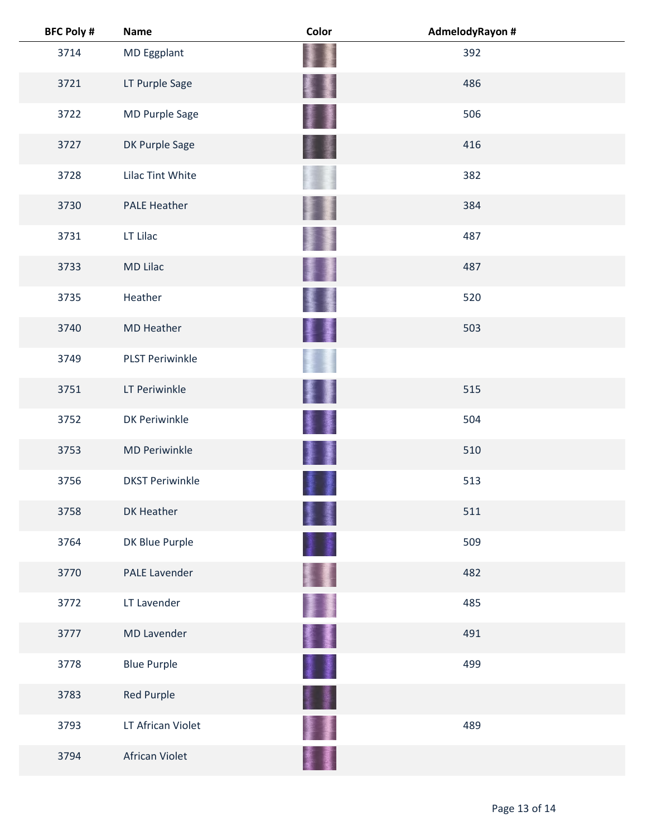| <b>BFC Poly #</b> | Name                   | Color    | AdmelodyRayon # |  |
|-------------------|------------------------|----------|-----------------|--|
| 3714              | MD Eggplant            |          | 392             |  |
| 3721              | LT Purple Sage         |          | 486             |  |
| 3722              | MD Purple Sage         |          | 506             |  |
| 3727              | DK Purple Sage         |          | 416             |  |
| 3728              | Lilac Tint White       |          | 382             |  |
| 3730              | <b>PALE Heather</b>    |          | 384             |  |
| 3731              | LT Lilac               |          | 487             |  |
| 3733              | <b>MD Lilac</b>        |          | 487             |  |
| 3735              | Heather                |          | 520             |  |
| 3740              | <b>MD Heather</b>      |          | 503             |  |
| 3749              | <b>PLST Periwinkle</b> |          |                 |  |
| 3751              | LT Periwinkle          |          | 515             |  |
| 3752              | <b>DK Periwinkle</b>   |          | 504             |  |
| 3753              | <b>MD Periwinkle</b>   |          | 510             |  |
| 3756              | <b>DKST Periwinkle</b> |          | 513             |  |
| 3758              | DK Heather             |          | 511             |  |
| 3764              | DK Blue Purple         |          | 509             |  |
| 3770              | <b>PALE Lavender</b>   |          | 482             |  |
| 3772              | LT Lavender            | <b>A</b> | 485             |  |
| 3777              | <b>MD Lavender</b>     | 활돌       | 491             |  |
| 3778              | <b>Blue Purple</b>     | I        | 499             |  |
| 3783              | Red Purple             | ł        |                 |  |
| 3793              | LT African Violet      |          | 489             |  |
| 3794              | African Violet         |          |                 |  |